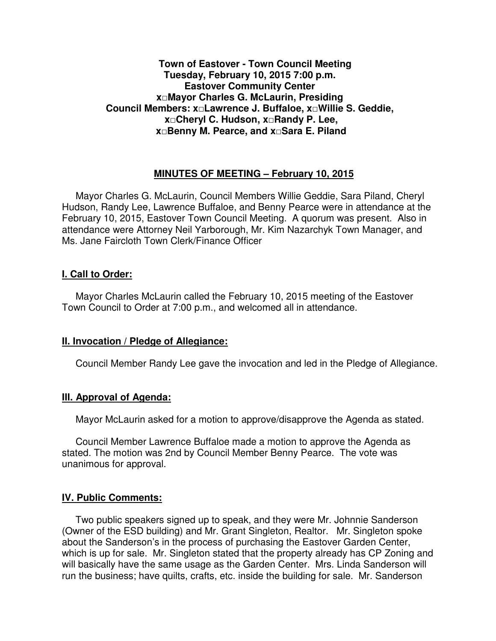# **Town of Eastover - Town Council Meeting Tuesday, February 10, 2015 7:00 p.m. Eastover Community Center x□Mayor Charles G. McLaurin, Presiding Council Members: x□Lawrence J. Buffaloe, x□Willie S. Geddie, x□Cheryl C. Hudson, x□Randy P. Lee, x□Benny M. Pearce, and x□Sara E. Piland**

### **MINUTES OF MEETING – February 10, 2015**

Mayor Charles G. McLaurin, Council Members Willie Geddie, Sara Piland, Cheryl Hudson, Randy Lee, Lawrence Buffaloe, and Benny Pearce were in attendance at the February 10, 2015, Eastover Town Council Meeting. A quorum was present. Also in attendance were Attorney Neil Yarborough, Mr. Kim Nazarchyk Town Manager, and Ms. Jane Faircloth Town Clerk/Finance Officer

#### **I. Call to Order:**

Mayor Charles McLaurin called the February 10, 2015 meeting of the Eastover Town Council to Order at 7:00 p.m., and welcomed all in attendance.

### **II. Invocation / Pledge of Allegiance:**

Council Member Randy Lee gave the invocation and led in the Pledge of Allegiance.

### **III. Approval of Agenda:**

Mayor McLaurin asked for a motion to approve/disapprove the Agenda as stated.

 Council Member Lawrence Buffaloe made a motion to approve the Agenda as stated. The motion was 2nd by Council Member Benny Pearce. The vote was unanimous for approval.

### **IV. Public Comments:**

 Two public speakers signed up to speak, and they were Mr. Johnnie Sanderson (Owner of the ESD building) and Mr. Grant Singleton, Realtor. Mr. Singleton spoke about the Sanderson's in the process of purchasing the Eastover Garden Center, which is up for sale. Mr. Singleton stated that the property already has CP Zoning and will basically have the same usage as the Garden Center. Mrs. Linda Sanderson will run the business; have quilts, crafts, etc. inside the building for sale. Mr. Sanderson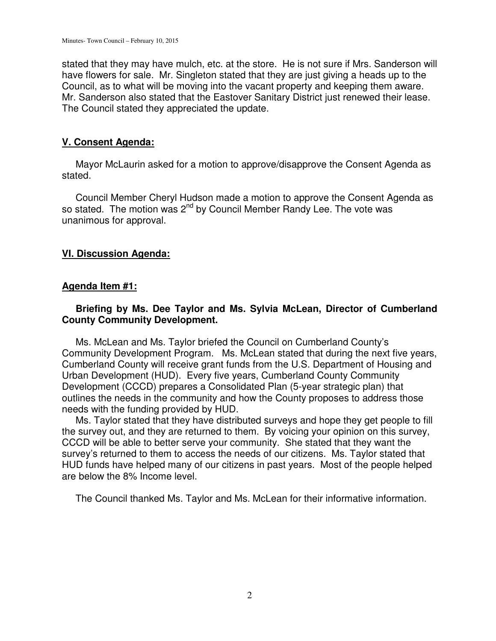stated that they may have mulch, etc. at the store. He is not sure if Mrs. Sanderson will have flowers for sale. Mr. Singleton stated that they are just giving a heads up to the Council, as to what will be moving into the vacant property and keeping them aware. Mr. Sanderson also stated that the Eastover Sanitary District just renewed their lease. The Council stated they appreciated the update.

# **V. Consent Agenda:**

 Mayor McLaurin asked for a motion to approve/disapprove the Consent Agenda as stated.

 Council Member Cheryl Hudson made a motion to approve the Consent Agenda as so stated. The motion was 2<sup>nd</sup> by Council Member Randy Lee. The vote was unanimous for approval.

### **VI. Discussion Agenda:**

### **Agenda Item #1:**

# **Briefing by Ms. Dee Taylor and Ms. Sylvia McLean, Director of Cumberland County Community Development.**

 Ms. McLean and Ms. Taylor briefed the Council on Cumberland County's Community Development Program. Ms. McLean stated that during the next five years, Cumberland County will receive grant funds from the U.S. Department of Housing and Urban Development (HUD). Every five years, Cumberland County Community Development (CCCD) prepares a Consolidated Plan (5-year strategic plan) that outlines the needs in the community and how the County proposes to address those needs with the funding provided by HUD.

 Ms. Taylor stated that they have distributed surveys and hope they get people to fill the survey out, and they are returned to them. By voicing your opinion on this survey, CCCD will be able to better serve your community. She stated that they want the survey's returned to them to access the needs of our citizens. Ms. Taylor stated that HUD funds have helped many of our citizens in past years. Most of the people helped are below the 8% Income level.

The Council thanked Ms. Taylor and Ms. McLean for their informative information.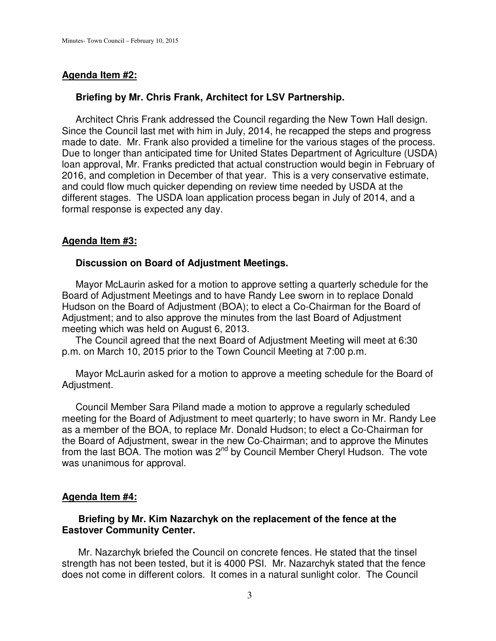# **Agenda Item #2:**

### **Briefing by Mr. Chris Frank, Architect for LSV Partnership.**

 Architect Chris Frank addressed the Council regarding the New Town Hall design. Since the Council last met with him in July, 2014, he recapped the steps and progress made to date. Mr. Frank also provided a timeline for the various stages of the process. Due to longer than anticipated time for United States Department of Agriculture (USDA) loan approval, Mr. Franks predicted that actual construction would begin in February of 2016, and completion in December of that year. This is a very conservative estimate, and could flow much quicker depending on review time needed by USDA at the different stages. The USDA loan application process began in July of 2014, and a formal response is expected any day.

# **Agenda Item #3:**

### **Discussion on Board of Adjustment Meetings.**

 Mayor McLaurin asked for a motion to approve setting a quarterly schedule for the Board of Adjustment Meetings and to have Randy Lee sworn in to replace Donald Hudson on the Board of Adjustment (BOA); to elect a Co-Chairman for the Board of Adjustment; and to also approve the minutes from the last Board of Adjustment meeting which was held on August 6, 2013.

 The Council agreed that the next Board of Adjustment Meeting will meet at 6:30 p.m. on March 10, 2015 prior to the Town Council Meeting at 7:00 p.m.

 Mayor McLaurin asked for a motion to approve a meeting schedule for the Board of Adjustment.

 Council Member Sara Piland made a motion to approve a regularly scheduled meeting for the Board of Adjustment to meet quarterly; to have sworn in Mr. Randy Lee as a member of the BOA, to replace Mr. Donald Hudson; to elect a Co-Chairman for the Board of Adjustment, swear in the new Co-Chairman; and to approve the Minutes from the last BOA. The motion was  $2^{nd}$  by Council Member Cheryl Hudson. The vote was unanimous for approval.

### **Agenda Item #4:**

### **Briefing by Mr. Kim Nazarchyk on the replacement of the fence at the Eastover Community Center.**

 Mr. Nazarchyk briefed the Council on concrete fences. He stated that the tinsel strength has not been tested, but it is 4000 PSI. Mr. Nazarchyk stated that the fence does not come in different colors. It comes in a natural sunlight color. The Council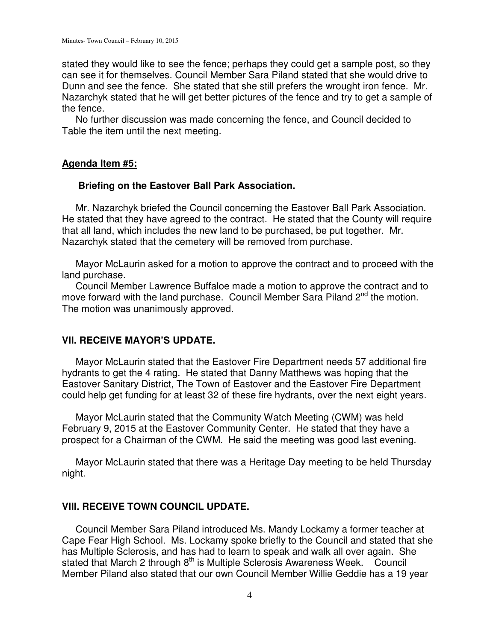stated they would like to see the fence; perhaps they could get a sample post, so they can see it for themselves. Council Member Sara Piland stated that she would drive to Dunn and see the fence. She stated that she still prefers the wrought iron fence. Mr. Nazarchyk stated that he will get better pictures of the fence and try to get a sample of the fence.

 No further discussion was made concerning the fence, and Council decided to Table the item until the next meeting.

# **Agenda Item #5:**

### **Briefing on the Eastover Ball Park Association.**

 Mr. Nazarchyk briefed the Council concerning the Eastover Ball Park Association. He stated that they have agreed to the contract. He stated that the County will require that all land, which includes the new land to be purchased, be put together. Mr. Nazarchyk stated that the cemetery will be removed from purchase.

 Mayor McLaurin asked for a motion to approve the contract and to proceed with the land purchase.

 Council Member Lawrence Buffaloe made a motion to approve the contract and to move forward with the land purchase. Council Member Sara Piland  $2^{nd}$  the motion. The motion was unanimously approved.

### **VII. RECEIVE MAYOR'S UPDATE.**

Mayor McLaurin stated that the Eastover Fire Department needs 57 additional fire hydrants to get the 4 rating. He stated that Danny Matthews was hoping that the Eastover Sanitary District, The Town of Eastover and the Eastover Fire Department could help get funding for at least 32 of these fire hydrants, over the next eight years.

 Mayor McLaurin stated that the Community Watch Meeting (CWM) was held February 9, 2015 at the Eastover Community Center. He stated that they have a prospect for a Chairman of the CWM. He said the meeting was good last evening.

 Mayor McLaurin stated that there was a Heritage Day meeting to be held Thursday night.

### **VIII. RECEIVE TOWN COUNCIL UPDATE.**

 Council Member Sara Piland introduced Ms. Mandy Lockamy a former teacher at Cape Fear High School. Ms. Lockamy spoke briefly to the Council and stated that she has Multiple Sclerosis, and has had to learn to speak and walk all over again. She stated that March 2 through 8<sup>th</sup> is Multiple Sclerosis Awareness Week. Council Member Piland also stated that our own Council Member Willie Geddie has a 19 year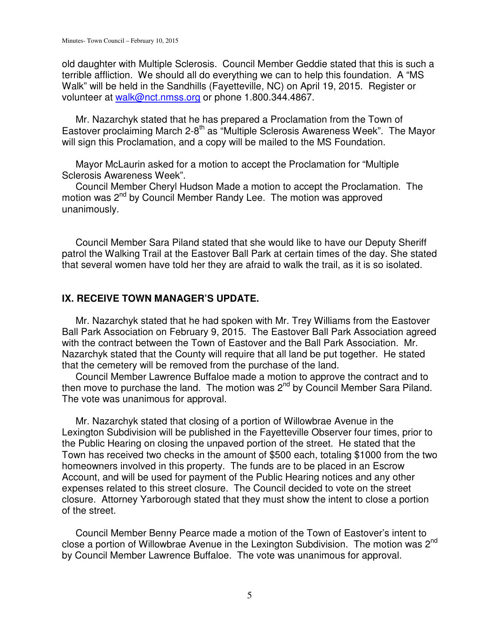old daughter with Multiple Sclerosis. Council Member Geddie stated that this is such a terrible affliction. We should all do everything we can to help this foundation. A "MS Walk" will be held in the Sandhills (Fayetteville, NC) on April 19, 2015. Register or volunteer at walk@nct.nmss.org or phone 1.800.344.4867.

 Mr. Nazarchyk stated that he has prepared a Proclamation from the Town of Eastover proclaiming March 2-8<sup>th</sup> as "Multiple Sclerosis Awareness Week". The Mayor will sign this Proclamation, and a copy will be mailed to the MS Foundation.

 Mayor McLaurin asked for a motion to accept the Proclamation for "Multiple Sclerosis Awareness Week".

 Council Member Cheryl Hudson Made a motion to accept the Proclamation. The motion was 2<sup>nd</sup> by Council Member Randy Lee. The motion was approved unanimously.

 Council Member Sara Piland stated that she would like to have our Deputy Sheriff patrol the Walking Trail at the Eastover Ball Park at certain times of the day. She stated that several women have told her they are afraid to walk the trail, as it is so isolated.

### **IX. RECEIVE TOWN MANAGER'S UPDATE.**

 Mr. Nazarchyk stated that he had spoken with Mr. Trey Williams from the Eastover Ball Park Association on February 9, 2015. The Eastover Ball Park Association agreed with the contract between the Town of Eastover and the Ball Park Association. Mr. Nazarchyk stated that the County will require that all land be put together. He stated that the cemetery will be removed from the purchase of the land.

 Council Member Lawrence Buffaloe made a motion to approve the contract and to then move to purchase the land. The motion was  $2<sup>nd</sup>$  by Council Member Sara Piland. The vote was unanimous for approval.

 Mr. Nazarchyk stated that closing of a portion of Willowbrae Avenue in the Lexington Subdivision will be published in the Fayetteville Observer four times, prior to the Public Hearing on closing the unpaved portion of the street. He stated that the Town has received two checks in the amount of \$500 each, totaling \$1000 from the two homeowners involved in this property. The funds are to be placed in an Escrow Account, and will be used for payment of the Public Hearing notices and any other expenses related to this street closure. The Council decided to vote on the street closure. Attorney Yarborough stated that they must show the intent to close a portion of the street.

 Council Member Benny Pearce made a motion of the Town of Eastover's intent to close a portion of Willowbrae Avenue in the Lexington Subdivision. The motion was 2<sup>nd</sup> by Council Member Lawrence Buffaloe. The vote was unanimous for approval.